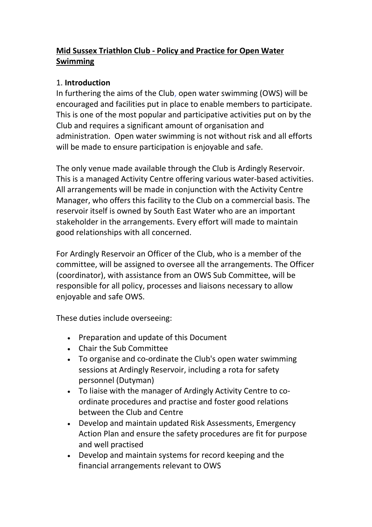# Mid Sussex Triathlon Club - Policy and Practice for Open Water Swimming

### 1. Introduction

In furthering the aims of the Club, open water swimming (OWS) will be encouraged and facilities put in place to enable members to participate. This is one of the most popular and participative activities put on by the Club and requires a significant amount of organisation and administration. Open water swimming is not without risk and all efforts will be made to ensure participation is enjoyable and safe.

The only venue made available through the Club is Ardingly Reservoir. This is a managed Activity Centre offering various water-based activities. All arrangements will be made in conjunction with the Activity Centre Manager, who offers this facility to the Club on a commercial basis. The reservoir itself is owned by South East Water who are an important stakeholder in the arrangements. Every effort will made to maintain good relationships with all concerned.

For Ardingly Reservoir an Officer of the Club, who is a member of the committee, will be assigned to oversee all the arrangements. The Officer (coordinator), with assistance from an OWS Sub Committee, will be responsible for all policy, processes and liaisons necessary to allow enjoyable and safe OWS.

These duties include overseeing:

- Preparation and update of this Document
- Chair the Sub Committee
- To organise and co-ordinate the Club's open water swimming sessions at Ardingly Reservoir, including a rota for safety personnel (Dutyman)
- To liaise with the manager of Ardingly Activity Centre to coordinate procedures and practise and foster good relations between the Club and Centre
- Develop and maintain updated Risk Assessments, Emergency Action Plan and ensure the safety procedures are fit for purpose and well practised
- Develop and maintain systems for record keeping and the financial arrangements relevant to OWS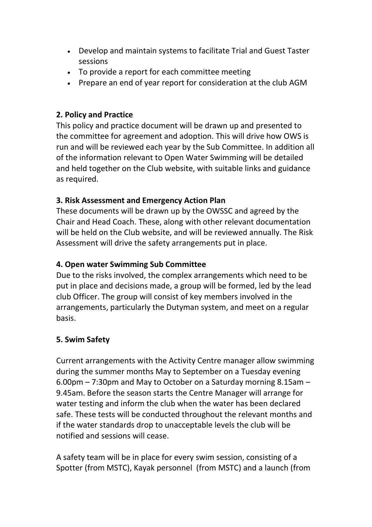- Develop and maintain systems to facilitate Trial and Guest Taster sessions
- To provide a report for each committee meeting
- Prepare an end of year report for consideration at the club AGM

### 2. Policy and Practice

This policy and practice document will be drawn up and presented to the committee for agreement and adoption. This will drive how OWS is run and will be reviewed each year by the Sub Committee. In addition all of the information relevant to Open Water Swimming will be detailed and held together on the Club website, with suitable links and guidance as required.

# 3. Risk Assessment and Emergency Action Plan

These documents will be drawn up by the OWSSC and agreed by the Chair and Head Coach. These, along with other relevant documentation will be held on the Club website, and will be reviewed annually. The Risk Assessment will drive the safety arrangements put in place.

### 4. Open water Swimming Sub Committee

Due to the risks involved, the complex arrangements which need to be put in place and decisions made, a group will be formed, led by the lead club Officer. The group will consist of key members involved in the arrangements, particularly the Dutyman system, and meet on a regular basis.

# 5. Swim Safety

Current arrangements with the Activity Centre manager allow swimming during the summer months May to September on a Tuesday evening 6.00pm – 7:30pm and May to October on a Saturday morning 8.15am – 9.45am. Before the season starts the Centre Manager will arrange for water testing and inform the club when the water has been declared safe. These tests will be conducted throughout the relevant months and if the water standards drop to unacceptable levels the club will be notified and sessions will cease.

A safety team will be in place for every swim session, consisting of a Spotter (from MSTC), Kayak personnel (from MSTC) and a launch (from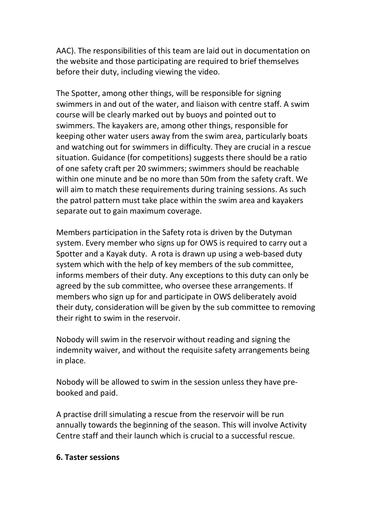AAC). The responsibilities of this team are laid out in documentation on the website and those participating are required to brief themselves before their duty, including viewing the video.

The Spotter, among other things, will be responsible for signing swimmers in and out of the water, and liaison with centre staff. A swim course will be clearly marked out by buoys and pointed out to swimmers. The kayakers are, among other things, responsible for keeping other water users away from the swim area, particularly boats and watching out for swimmers in difficulty. They are crucial in a rescue situation. Guidance (for competitions) suggests there should be a ratio of one safety craft per 20 swimmers; swimmers should be reachable within one minute and be no more than 50m from the safety craft. We will aim to match these requirements during training sessions. As such the patrol pattern must take place within the swim area and kayakers separate out to gain maximum coverage.

Members participation in the Safety rota is driven by the Dutyman system. Every member who signs up for OWS is required to carry out a Spotter and a Kayak duty. A rota is drawn up using a web-based duty system which with the help of key members of the sub committee, informs members of their duty. Any exceptions to this duty can only be agreed by the sub committee, who oversee these arrangements. If members who sign up for and participate in OWS deliberately avoid their duty, consideration will be given by the sub committee to removing their right to swim in the reservoir.

Nobody will swim in the reservoir without reading and signing the indemnity waiver, and without the requisite safety arrangements being in place.

Nobody will be allowed to swim in the session unless they have prebooked and paid.

A practise drill simulating a rescue from the reservoir will be run annually towards the beginning of the season. This will involve Activity Centre staff and their launch which is crucial to a successful rescue.

#### 6. Taster sessions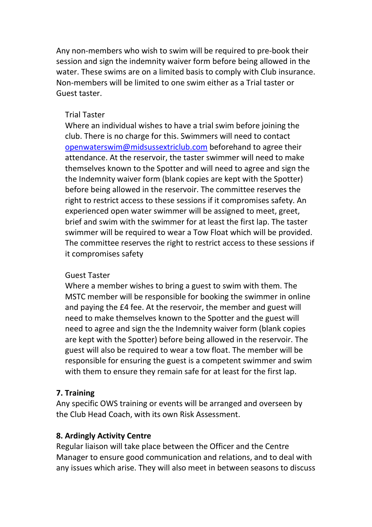Any non-members who wish to swim will be required to pre-book their session and sign the indemnity waiver form before being allowed in the water. These swims are on a limited basis to comply with Club insurance. Non-members will be limited to one swim either as a Trial taster or Guest taster.

#### Trial Taster

Where an individual wishes to have a trial swim before joining the club. There is no charge for this. Swimmers will need to contact openwaterswim@midsussextriclub.com beforehand to agree their attendance. At the reservoir, the taster swimmer will need to make themselves known to the Spotter and will need to agree and sign the the Indemnity waiver form (blank copies are kept with the Spotter) before being allowed in the reservoir. The committee reserves the right to restrict access to these sessions if it compromises safety. An experienced open water swimmer will be assigned to meet, greet, brief and swim with the swimmer for at least the first lap. The taster swimmer will be required to wear a Tow Float which will be provided. The committee reserves the right to restrict access to these sessions if it compromises safety

#### Guest Taster

Where a member wishes to bring a guest to swim with them. The MSTC member will be responsible for booking the swimmer in online and paying the £4 fee. At the reservoir, the member and guest will need to make themselves known to the Spotter and the guest will need to agree and sign the the Indemnity waiver form (blank copies are kept with the Spotter) before being allowed in the reservoir. The guest will also be required to wear a tow float. The member will be responsible for ensuring the guest is a competent swimmer and swim with them to ensure they remain safe for at least for the first lap.

#### 7. Training

Any specific OWS training or events will be arranged and overseen by the Club Head Coach, with its own Risk Assessment.

#### 8. Ardingly Activity Centre

Regular liaison will take place between the Officer and the Centre Manager to ensure good communication and relations, and to deal with any issues which arise. They will also meet in between seasons to discuss